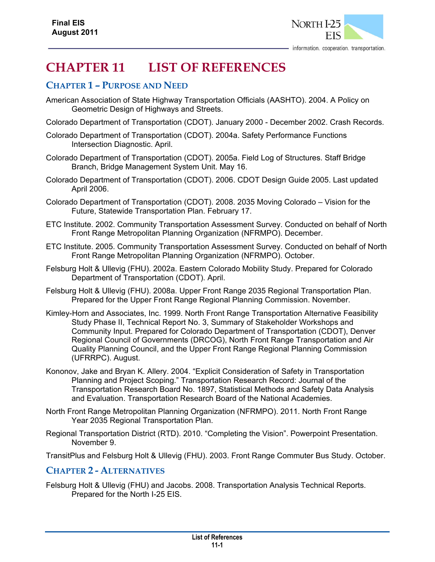

# **CHAPTER 11 LIST OF REFERENCES**

# **CHAPTER 1 – PURPOSE AND NEED**

- American Association of State Highway Transportation Officials (AASHTO). 2004. A Policy on Geometric Design of Highways and Streets.
- Colorado Department of Transportation (CDOT). January 2000 December 2002. Crash Records.
- Colorado Department of Transportation (CDOT). 2004a. Safety Performance Functions Intersection Diagnostic. April.
- Colorado Department of Transportation (CDOT). 2005a. Field Log of Structures. Staff Bridge Branch, Bridge Management System Unit. May 16.
- Colorado Department of Transportation (CDOT). 2006. CDOT Design Guide 2005. Last updated April 2006.
- Colorado Department of Transportation (CDOT). 2008. 2035 Moving Colorado Vision for the Future, Statewide Transportation Plan. February 17.
- ETC Institute. 2002. Community Transportation Assessment Survey. Conducted on behalf of North Front Range Metropolitan Planning Organization (NFRMPO). December.
- ETC Institute. 2005. Community Transportation Assessment Survey. Conducted on behalf of North Front Range Metropolitan Planning Organization (NFRMPO). October.
- Felsburg Holt & Ullevig (FHU). 2002a. Eastern Colorado Mobility Study. Prepared for Colorado Department of Transportation (CDOT). April.
- Felsburg Holt & Ullevig (FHU). 2008a. Upper Front Range 2035 Regional Transportation Plan. Prepared for the Upper Front Range Regional Planning Commission. November.
- Kimley-Horn and Associates, Inc. 1999. North Front Range Transportation Alternative Feasibility Study Phase II, Technical Report No. 3, Summary of Stakeholder Workshops and Community Input. Prepared for Colorado Department of Transportation (CDOT), Denver Regional Council of Governments (DRCOG), North Front Range Transportation and Air Quality Planning Council, and the Upper Front Range Regional Planning Commission (UFRRPC). August.
- Kononov, Jake and Bryan K. Allery. 2004. "Explicit Consideration of Safety in Transportation Planning and Project Scoping." Transportation Research Record: Journal of the Transportation Research Board No. 1897, Statistical Methods and Safety Data Analysis and Evaluation. Transportation Research Board of the National Academies.
- North Front Range Metropolitan Planning Organization (NFRMPO). 2011. North Front Range Year 2035 Regional Transportation Plan.
- Regional Transportation District (RTD). 2010. "Completing the Vision". Powerpoint Presentation. November 9.
- TransitPlus and Felsburg Holt & Ullevig (FHU). 2003. Front Range Commuter Bus Study. October.

# **CHAPTER 2 - ALTERNATIVES**

Felsburg Holt & Ullevig (FHU) and Jacobs. 2008. Transportation Analysis Technical Reports. Prepared for the North I-25 EIS.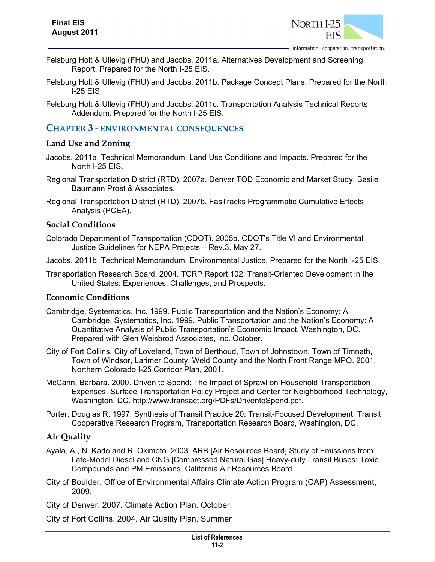

- Felsburg Holt & Ullevig (FHU) and Jacobs. 2011a. Alternatives Development and Screening Report. Prepared for the North I-25 EIS.
- Felsburg Holt & Ullevig (FHU) and Jacobs. 2011b. Package Concept Plans. Prepared for the North I-25 EIS.
- Felsburg Holt & Ullevig (FHU) and Jacobs. 2011c. Transportation Analysis Technical Reports Addendum. Prepared for the North I-25 EIS.

## **CHAPTER 3 - ENVIRONMENTAL CONSEQUENCES**

#### **Land Use and Zoning**

- Jacobs. 2011a. Technical Memorandum: Land Use Conditions and Impacts. Prepared for the North I-25 EIS.
- Regional Transportation District (RTD). 2007a. Denver TOD Economic and Market Study. Basile Baumann Prost & Associates.
- Regional Transportation District (RTD). 2007b. FasTracks Programmatic Cumulative Effects Analysis (PCEA).

#### **Social Conditions**

- Colorado Department of Transportation (CDOT). 2005b. CDOT's Title VI and Environmental Justice Guidelines for NEPA Projects – Rev.3. May 27.
- Jacobs. 2011b. Technical Memorandum: Environmental Justice. Prepared for the North I-25 EIS.
- Transportation Research Board. 2004. TCRP Report 102: Transit-Oriented Development in the United States: Experiences, Challenges, and Prospects.

#### **Economic Conditions**

- Cambridge, Systematics, Inc. 1999. Public Transportation and the Nation's Economy: A Cambridge, Systematics, Inc. 1999. Public Transportation and the Nation's Economy: A Quantitative Analysis of Public Transportation's Economic Impact, Washington, DC. Prepared with Glen Weisbrod Associates, Inc. October.
- City of Fort Collins, City of Loveland, Town of Berthoud, Town of Johnstown, Town of Timnath, Town of Windsor, Larimer County, Weld County and the North Front Range MPO. 2001. Northern Colorado I-25 Corridor Plan, 2001.
- McCann, Barbara. 2000. Driven to Spend: The Impact of Sprawl on Household Transportation Expenses. Surface Transportation Policy Project and Center for Neighborhood Technology, Washington, DC. http://www.transact.org/PDFs/DriventoSpend.pdf.
- Porter, Douglas R. 1997. Synthesis of Transit Practice 20: Transit-Focused Development. Transit Cooperative Research Program, Transportation Research Board, Washington, DC.

## **Air Quality**

- Ayala, A., N. Kado and R. Okimoto. 2003. ARB [Air Resources Board] Study of Emissions from Late-Model Diesel and CNG [Compressed Natural Gas] Heavy-duty Transit Buses: Toxic Compounds and PM Emissions. California Air Resources Board.
- City of Boulder, Office of Environmental Affairs Climate Action Program (CAP) Assessment, 2009.

City of Denver. 2007. Climate Action Plan. October.

City of Fort Collins. 2004. Air Quality Plan. Summer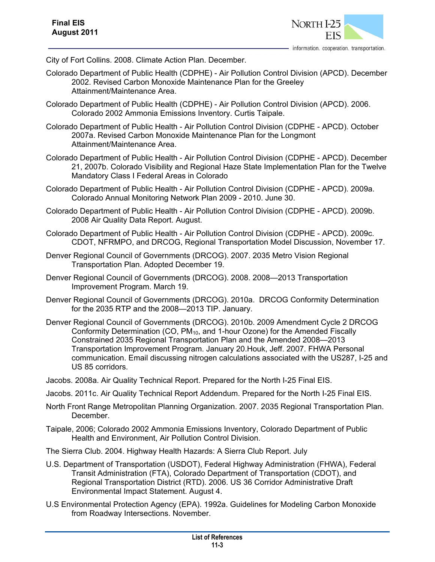

City of Fort Collins. 2008. Climate Action Plan. December.

- Colorado Department of Public Health (CDPHE) Air Pollution Control Division (APCD). December 2002. Revised Carbon Monoxide Maintenance Plan for the Greeley Attainment/Maintenance Area.
- Colorado Department of Public Health (CDPHE) Air Pollution Control Division (APCD). 2006. Colorado 2002 Ammonia Emissions Inventory. Curtis Taipale.
- Colorado Department of Public Health Air Pollution Control Division (CDPHE APCD). October 2007a. Revised Carbon Monoxide Maintenance Plan for the Longmont Attainment/Maintenance Area.
- Colorado Department of Public Health Air Pollution Control Division (CDPHE APCD). December 21, 2007b. Colorado Visibility and Regional Haze State Implementation Plan for the Twelve Mandatory Class I Federal Areas in Colorado
- Colorado Department of Public Health Air Pollution Control Division (CDPHE APCD). 2009a. Colorado Annual Monitoring Network Plan 2009 - 2010. June 30.
- Colorado Department of Public Health Air Pollution Control Division (CDPHE APCD). 2009b. 2008 Air Quality Data Report. August.
- Colorado Department of Public Health Air Pollution Control Division (CDPHE APCD). 2009c. CDOT, NFRMPO, and DRCOG, Regional Transportation Model Discussion, November 17.
- Denver Regional Council of Governments (DRCOG). 2007. 2035 Metro Vision Regional Transportation Plan. Adopted December 19.
- Denver Regional Council of Governments (DRCOG). 2008. 2008—2013 Transportation Improvement Program. March 19.
- Denver Regional Council of Governments (DRCOG). 2010a. DRCOG Conformity Determination for the 2035 RTP and the 2008—2013 TIP. January.
- Denver Regional Council of Governments (DRCOG). 2010b. 2009 Amendment Cycle 2 DRCOG Conformity Determination (CO, PM<sub>10</sub>, and 1-hour Ozone) for the Amended Fiscally Constrained 2035 Regional Transportation Plan and the Amended 2008—2013 Transportation Improvement Program. January 20.Houk, Jeff. 2007. FHWA Personal communication. Email discussing nitrogen calculations associated with the US287, I-25 and US 85 corridors.
- Jacobs. 2008a. Air Quality Technical Report. Prepared for the North I-25 Final EIS.
- Jacobs. 2011c. Air Quality Technical Report Addendum. Prepared for the North I-25 Final EIS.
- North Front Range Metropolitan Planning Organization. 2007. 2035 Regional Transportation Plan. December.
- Taipale, 2006; Colorado 2002 Ammonia Emissions Inventory, Colorado Department of Public Health and Environment, Air Pollution Control Division.
- The Sierra Club. 2004. Highway Health Hazards: A Sierra Club Report. July
- U.S. Department of Transportation (USDOT), Federal Highway Administration (FHWA), Federal Transit Administration (FTA), Colorado Department of Transportation (CDOT), and Regional Transportation District (RTD). 2006. US 36 Corridor Administrative Draft Environmental Impact Statement. August 4.
- U.S Environmental Protection Agency (EPA). 1992a. Guidelines for Modeling Carbon Monoxide from Roadway Intersections. November.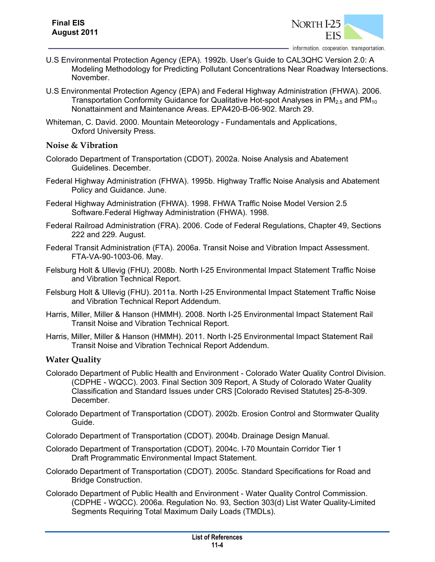

- U.S Environmental Protection Agency (EPA). 1992b. User's Guide to CAL3QHC Version 2.0: A Modeling Methodology for Predicting Pollutant Concentrations Near Roadway Intersections. November.
- U.S Environmental Protection Agency (EPA) and Federal Highway Administration (FHWA). 2006. Transportation Conformity Guidance for Qualitative Hot-spot Analyses in  $PM_{2.5}$  and  $PM_{10}$ Nonattainment and Maintenance Areas. EPA420-B-06-902. March 29.
- Whiteman, C. David. 2000. Mountain Meteorology Fundamentals and Applications, Oxford University Press.

#### **Noise & Vibration**

- Colorado Department of Transportation (CDOT). 2002a. Noise Analysis and Abatement Guidelines. December.
- Federal Highway Administration (FHWA). 1995b. Highway Traffic Noise Analysis and Abatement Policy and Guidance. June.
- Federal Highway Administration (FHWA). 1998. FHWA Traffic Noise Model Version 2.5 Software.Federal Highway Administration (FHWA). 1998.
- Federal Railroad Administration (FRA). 2006. Code of Federal Regulations, Chapter 49, Sections 222 and 229. August.
- Federal Transit Administration (FTA). 2006a. Transit Noise and Vibration Impact Assessment. FTA-VA-90-1003-06. May.
- Felsburg Holt & Ullevig (FHU). 2008b. North I-25 Environmental Impact Statement Traffic Noise and Vibration Technical Report.
- Felsburg Holt & Ullevig (FHU). 2011a. North I-25 Environmental Impact Statement Traffic Noise and Vibration Technical Report Addendum.
- Harris, Miller, Miller & Hanson (HMMH). 2008. North I-25 Environmental Impact Statement Rail Transit Noise and Vibration Technical Report.
- Harris, Miller, Miller & Hanson (HMMH). 2011. North I-25 Environmental Impact Statement Rail Transit Noise and Vibration Technical Report Addendum.

## **Water Quality**

- Colorado Department of Public Health and Environment Colorado Water Quality Control Division. (CDPHE - WQCC). 2003. Final Section 309 Report, A Study of Colorado Water Quality Classification and Standard Issues under CRS [Colorado Revised Statutes] 25-8-309. December.
- Colorado Department of Transportation (CDOT). 2002b. Erosion Control and Stormwater Quality Guide.
- Colorado Department of Transportation (CDOT). 2004b. Drainage Design Manual.
- Colorado Department of Transportation (CDOT). 2004c. I-70 Mountain Corridor Tier 1 Draft Programmatic Environmental Impact Statement.
- Colorado Department of Transportation (CDOT). 2005c. Standard Specifications for Road and Bridge Construction.
- Colorado Department of Public Health and Environment Water Quality Control Commission. (CDPHE - WQCC). 2006a. Regulation No. 93, Section 303(d) List Water Quality-Limited Segments Requiring Total Maximum Daily Loads (TMDLs).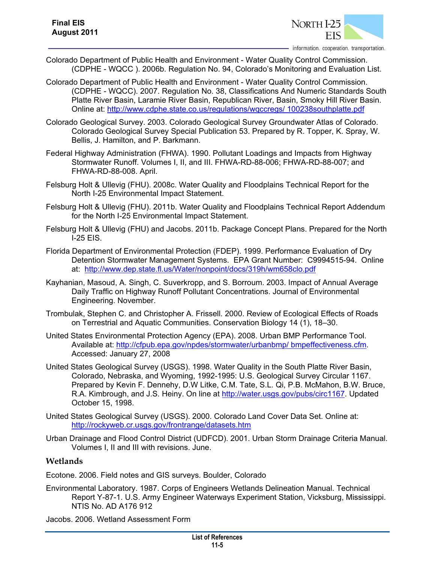

information. cooperation. transportation.

- Colorado Department of Public Health and Environment Water Quality Control Commission. (CDPHE - WQCC ). 2006b. Regulation No. 94, Colorado's Monitoring and Evaluation List.
- Colorado Department of Public Health and Environment Water Quality Control Commission. (CDPHE - WQCC). 2007. Regulation No. 38, Classifications And Numeric Standards South Platte River Basin, Laramie River Basin, Republican River, Basin, Smoky Hill River Basin. Online at: http://www.cdphe.state.co.us/regulations/wqccregs/ 100238southplatte.pdf
- Colorado Geological Survey. 2003. Colorado Geological Survey Groundwater Atlas of Colorado. Colorado Geological Survey Special Publication 53. Prepared by R. Topper, K. Spray, W. Bellis, J. Hamilton, and P. Barkmann.
- Federal Highway Administration (FHWA). 1990. Pollutant Loadings and Impacts from Highway Stormwater Runoff. Volumes I, II, and III. FHWA-RD-88-006; FHWA-RD-88-007; and FHWA-RD-88-008. April.
- Felsburg Holt & Ullevig (FHU). 2008c. Water Quality and Floodplains Technical Report for the North I-25 Environmental Impact Statement.
- Felsburg Holt & Ullevig (FHU). 2011b. Water Quality and Floodplains Technical Report Addendum for the North I-25 Environmental Impact Statement.
- Felsburg Holt & Ullevig (FHU) and Jacobs. 2011b. Package Concept Plans. Prepared for the North I-25 EIS.
- Florida Department of Environmental Protection (FDEP). 1999. Performance Evaluation of Dry Detention Stormwater Management Systems. EPA Grant Number: C9994515-94. Online at: http://www.dep.state.fl.us/Water/nonpoint/docs/319h/wm658clo.pdf
- Kayhanian, Masoud, A. Singh, C. Suverkropp, and S. Borroum. 2003. Impact of Annual Average Daily Traffic on Highway Runoff Pollutant Concentrations. Journal of Environmental Engineering. November.
- Trombulak, Stephen C. and Christopher A. Frissell. 2000. Review of Ecological Effects of Roads on Terrestrial and Aquatic Communities. Conservation Biology 14 (1), 18–30.
- United States Environmental Protection Agency (EPA). 2008. Urban BMP Performance Tool. Available at: http://cfpub.epa.gov/npdes/stormwater/urbanbmp/ bmpeffectiveness.cfm. Accessed: January 27, 2008
- United States Geological Survey (USGS). 1998. Water Quality in the South Platte River Basin, Colorado, Nebraska, and Wyoming, 1992-1995: U.S. Geological Survey Circular 1167. Prepared by Kevin F. Dennehy, D.W Litke, C.M. Tate, S.L. Qi, P.B. McMahon, B.W. Bruce, R.A. Kimbrough, and J.S. Heiny. On line at http://water.usgs.gov/pubs/circ1167. Updated October 15, 1998.
- United States Geological Survey (USGS). 2000. Colorado Land Cover Data Set. Online at: http://rockyweb.cr.usgs.gov/frontrange/datasets.htm
- Urban Drainage and Flood Control District (UDFCD). 2001. Urban Storm Drainage Criteria Manual. Volumes I, II and III with revisions. June.

## **Wetlands**

Ecotone. 2006. Field notes and GIS surveys. Boulder, Colorado

Environmental Laboratory. 1987. Corps of Engineers Wetlands Delineation Manual. Technical Report Y-87-1. U.S. Army Engineer Waterways Experiment Station, Vicksburg, Mississippi. NTIS No. AD A176 912

Jacobs. 2006. Wetland Assessment Form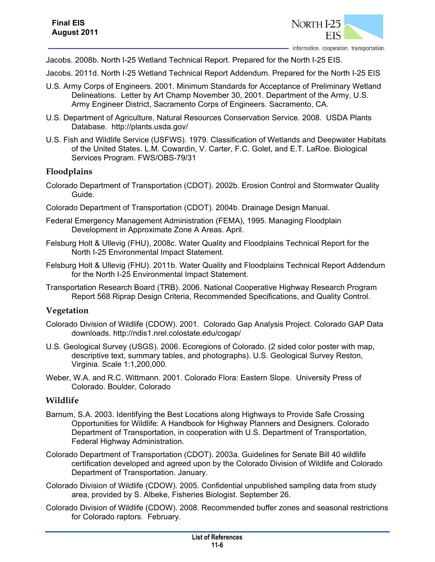

Jacobs. 2008b. North I-25 Wetland Technical Report. Prepared for the North I-25 EIS.

Jacobs. 2011d. North I-25 Wetland Technical Report Addendum. Prepared for the North I-25 EIS

- U.S. Army Corps of Engineers. 2001. Minimum Standards for Acceptance of Preliminary Wetland Delineations. Letter by Art Champ November 30, 2001. Department of the Army, U.S. Army Engineer District, Sacramento Corps of Engineers. Sacramento, CA.
- U.S. Department of Agriculture, Natural Resources Conservation Service. 2008. USDA Plants Database. http://plants.usda.gov/
- U.S. Fish and Wildlife Service (USFWS). 1979. Classification of Wetlands and Deepwater Habitats of the United States. L.M. Cowardin, V. Carter, F.C. Golet, and E.T. LaRoe. Biological Services Program. FWS/OBS-79/31

## **Floodplains**

- Colorado Department of Transportation (CDOT). 2002b. Erosion Control and Stormwater Quality Guide.
- Colorado Department of Transportation (CDOT). 2004b. Drainage Design Manual.
- Federal Emergency Management Administration (FEMA), 1995. Managing Floodplain Development in Approximate Zone A Areas. April.
- Felsburg Holt & Ullevig (FHU), 2008c. Water Quality and Floodplains Technical Report for the North I-25 Environmental Impact Statement.
- Felsburg Holt & Ullevig (FHU). 2011b. Water Quality and Floodplains Technical Report Addendum for the North I-25 Environmental Impact Statement.
- Transportation Research Board (TRB). 2006. National Cooperative Highway Research Program Report 568 Riprap Design Criteria, Recommended Specifications, and Quality Control.

## **Vegetation**

- Colorado Division of Wildlife (CDOW). 2001. Colorado Gap Analysis Project. Colorado GAP Data downloads. http://ndis1.nrel.colostate.edu/cogap/
- U.S. Geological Survey (USGS). 2006. Ecoregions of Colorado. (2 sided color poster with map, descriptive text, summary tables, and photographs). U.S. Geological Survey Reston, Virginia. Scale 1:1,200,000.
- Weber, W.A. and R.C. Wittmann. 2001. Colorado Flora: Eastern Slope. University Press of Colorado. Boulder, Colorado

#### **Wildlife**

- Barnum, S.A. 2003. Identifying the Best Locations along Highways to Provide Safe Crossing Opportunities for Wildlife: A Handbook for Highway Planners and Designers. Colorado Department of Transportation, in cooperation with U.S. Department of Transportation, Federal Highway Administration.
- Colorado Department of Transportation (CDOT). 2003a. Guidelines for Senate Bill 40 wildlife certification developed and agreed upon by the Colorado Division of Wildlife and Colorado Department of Transportation. January.
- Colorado Division of Wildlife (CDOW). 2005. Confidential unpublished sampling data from study area, provided by S. Albeke, Fisheries Biologist. September 26.
- Colorado Division of Wildlife (CDOW). 2008. Recommended buffer zones and seasonal restrictions for Colorado raptors. February.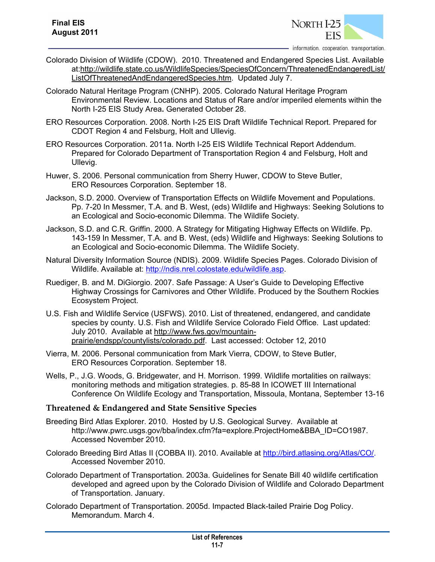

information. cooperation. transportation.

- Colorado Division of Wildlife (CDOW). 2010. Threatened and Endangered Species List. Available at:http://wildlife.state.co.us/WildlifeSpecies/SpeciesOfConcern/ThreatenedEndangeredList/ ListOfThreatenedAndEndangeredSpecies.htm. Updated July 7.
- Colorado Natural Heritage Program (CNHP). 2005. Colorado Natural Heritage Program Environmental Review. Locations and Status of Rare and/or imperiled elements within the North I-25 EIS Study Area**.** Generated October 28.
- ERO Resources Corporation. 2008. North I-25 EIS Draft Wildlife Technical Report. Prepared for CDOT Region 4 and Felsburg, Holt and Ullevig.
- ERO Resources Corporation. 2011a. North I-25 EIS Wildlife Technical Report Addendum. Prepared for Colorado Department of Transportation Region 4 and Felsburg, Holt and Ullevig.
- Huwer, S. 2006. Personal communication from Sherry Huwer, CDOW to Steve Butler, ERO Resources Corporation. September 18.
- Jackson, S.D. 2000. Overview of Transportation Effects on Wildlife Movement and Populations. Pp. 7-20 In Messmer, T.A. and B. West, (eds) Wildlife and Highways: Seeking Solutions to an Ecological and Socio-economic Dilemma. The Wildlife Society.
- Jackson, S.D. and C.R. Griffin. 2000. A Strategy for Mitigating Highway Effects on Wildlife. Pp. 143-159 In Messmer, T.A. and B. West, (eds) Wildlife and Highways: Seeking Solutions to an Ecological and Socio-economic Dilemma. The Wildlife Society.
- Natural Diversity Information Source (NDIS). 2009. Wildlife Species Pages. Colorado Division of Wildlife. Available at: http://ndis.nrel.colostate.edu/wildlife.asp.
- Ruediger, B. and M. DiGiorgio. 2007. Safe Passage: A User's Guide to Developing Effective Highway Crossings for Carnivores and Other Wildlife. Produced by the Southern Rockies Ecosystem Project.
- U.S. Fish and Wildlife Service (USFWS). 2010. List of threatened, endangered, and candidate species by county. U.S. Fish and Wildlife Service Colorado Field Office. Last updated: July 2010. Available at http://www.fws.gov/mountainprairie/endspp/countylists/colorado.pdf. Last accessed: October 12, 2010
- Vierra, M. 2006. Personal communication from Mark Vierra, CDOW, to Steve Butler, ERO Resources Corporation. September 18.
- Wells, P., J.G. Woods, G. Bridgewater, and H. Morrison. 1999. Wildlife mortalities on railways: monitoring methods and mitigation strategies. p. 85-88 In ICOWET III International Conference On Wildlife Ecology and Transportation, Missoula, Montana, September 13-16

#### **Threatened & Endangered and State Sensitive Species**

- Breeding Bird Atlas Explorer. 2010. Hosted by U.S. Geological Survey. Available at http://www.pwrc.usgs.gov/bba/index.cfm?fa=explore.ProjectHome&BBA\_ID=CO1987. Accessed November 2010.
- Colorado Breeding Bird Atlas II (COBBA II). 2010. Available at http://bird.atlasing.org/Atlas/CO/. Accessed November 2010.
- Colorado Department of Transportation. 2003a. Guidelines for Senate Bill 40 wildlife certification developed and agreed upon by the Colorado Division of Wildlife and Colorado Department of Transportation. January.
- Colorado Department of Transportation. 2005d. Impacted Black-tailed Prairie Dog Policy. Memorandum. March 4.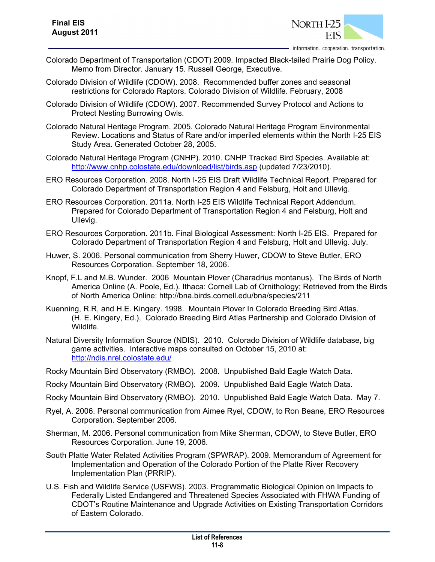

- Colorado Department of Transportation (CDOT) 2009. Impacted Black-tailed Prairie Dog Policy. Memo from Director. January 15. Russell George, Executive.
- Colorado Division of Wildlife (CDOW). 2008. Recommended buffer zones and seasonal restrictions for Colorado Raptors. Colorado Division of Wildlife. February, 2008
- Colorado Division of Wildlife (CDOW). 2007. Recommended Survey Protocol and Actions to Protect Nesting Burrowing Owls.
- Colorado Natural Heritage Program. 2005. Colorado Natural Heritage Program Environmental Review. Locations and Status of Rare and/or imperiled elements within the North I-25 EIS Study Area**.** Generated October 28, 2005.
- Colorado Natural Heritage Program (CNHP). 2010. CNHP Tracked Bird Species. Available at: http://www.cnhp.colostate.edu/download/list/birds.asp (updated 7/23/2010).
- ERO Resources Corporation. 2008. North I-25 EIS Draft Wildlife Technical Report. Prepared for Colorado Department of Transportation Region 4 and Felsburg, Holt and Ullevig.
- ERO Resources Corporation. 2011a. North I-25 EIS Wildlife Technical Report Addendum. Prepared for Colorado Department of Transportation Region 4 and Felsburg, Holt and Ullevig.
- ERO Resources Corporation. 2011b. Final Biological Assessment: North I-25 EIS. Prepared for Colorado Department of Transportation Region 4 and Felsburg, Holt and Ullevig. July.
- Huwer, S. 2006. Personal communication from Sherry Huwer, CDOW to Steve Butler, ERO Resources Corporation. September 18, 2006.
- Knopf, F.L and M.B. Wunder. 2006 Mountain Plover (Charadrius montanus). The Birds of North America Online (A. Poole, Ed.). Ithaca: Cornell Lab of Ornithology; Retrieved from the Birds of North America Online: http://bna.birds.cornell.edu/bna/species/211
- Kuenning, R.R, and H.E. Kingery. 1998. Mountain Plover In Colorado Breeding Bird Atlas. (H. E. Kingery, Ed.), Colorado Breeding Bird Atlas Partnership and Colorado Division of Wildlife.
- Natural Diversity Information Source (NDIS). 2010. Colorado Division of Wildlife database, big game activities. Interactive maps consulted on October 15, 2010 at: http://ndis.nrel.colostate.edu/
- Rocky Mountain Bird Observatory (RMBO). 2008. Unpublished Bald Eagle Watch Data.
- Rocky Mountain Bird Observatory (RMBO). 2009. Unpublished Bald Eagle Watch Data.
- Rocky Mountain Bird Observatory (RMBO). 2010. Unpublished Bald Eagle Watch Data. May 7.
- Ryel, A. 2006. Personal communication from Aimee Ryel, CDOW, to Ron Beane, ERO Resources Corporation. September 2006.
- Sherman, M. 2006. Personal communication from Mike Sherman, CDOW, to Steve Butler, ERO Resources Corporation. June 19, 2006.
- South Platte Water Related Activities Program (SPWRAP). 2009. Memorandum of Agreement for Implementation and Operation of the Colorado Portion of the Platte River Recovery Implementation Plan (PRRIP).
- U.S. Fish and Wildlife Service (USFWS). 2003. Programmatic Biological Opinion on Impacts to Federally Listed Endangered and Threatened Species Associated with FHWA Funding of CDOT's Routine Maintenance and Upgrade Activities on Existing Transportation Corridors of Eastern Colorado.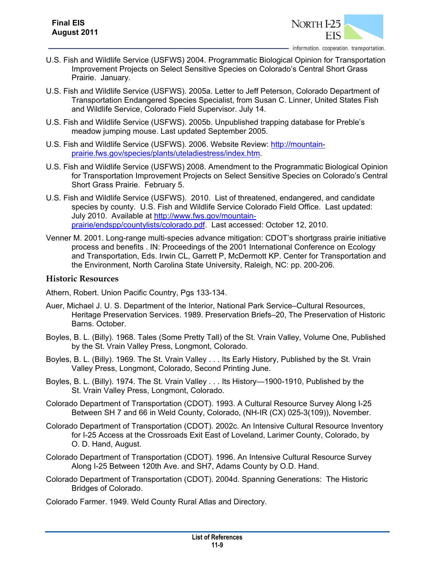

- U.S. Fish and Wildlife Service (USFWS) 2004. Programmatic Biological Opinion for Transportation Improvement Projects on Select Sensitive Species on Colorado's Central Short Grass Prairie. January.
- U.S. Fish and Wildlife Service (USFWS). 2005a. Letter to Jeff Peterson, Colorado Department of Transportation Endangered Species Specialist, from Susan C. Linner, United States Fish and Wildlife Service, Colorado Field Supervisor. July 14.
- U.S. Fish and Wildlife Service (USFWS). 2005b. Unpublished trapping database for Preble's meadow jumping mouse. Last updated September 2005.
- U.S. Fish and Wildlife Service (USFWS). 2006. Website Review: http://mountainprairie.fws.gov/species/plants/uteladiestress/index.htm.
- U.S. Fish and Wildlife Service (USFWS) 2008. Amendment to the Programmatic Biological Opinion for Transportation Improvement Projects on Select Sensitive Species on Colorado's Central Short Grass Prairie. February 5.
- U.S. Fish and Wildlife Service (USFWS). 2010. List of threatened, endangered, and candidate species by county. U.S. Fish and Wildlife Service Colorado Field Office. Last updated: July 2010. Available at http://www.fws.gov/mountainprairie/endspp/countylists/colorado.pdf. Last accessed: October 12, 2010.
- Venner M. 2001. Long-range multi-species advance mitigation: CDOT's shortgrass prairie initiative process and benefits . IN: Proceedings of the 2001 International Conference on Ecology and Transportation, Eds. Irwin CL, Garrett P, McDermott KP. Center for Transportation and the Environment, North Carolina State University, Raleigh, NC: pp. 200-206.

#### **Historic Resources**

Athern, Robert. Union Pacific Country, Pgs 133-134.

- Auer, Michael J. U. S. Department of the Interior, National Park Service–Cultural Resources, Heritage Preservation Services. 1989. Preservation Briefs–20, The Preservation of Historic Barns. October.
- Boyles, B. L. (Billy). 1968. Tales (Some Pretty Tall) of the St. Vrain Valley, Volume One, Published by the St. Vrain Valley Press, Longmont, Colorado.
- Boyles, B. L. (Billy). 1969. The St. Vrain Valley . . . Its Early History, Published by the St. Vrain Valley Press, Longmont, Colorado, Second Printing June.
- Boyles, B. L. (Billy). 1974. The St. Vrain Valley . . . Its History—1900-1910, Published by the St. Vrain Valley Press, Longmont, Colorado.
- Colorado Department of Transportation (CDOT). 1993. A Cultural Resource Survey Along I-25 Between SH 7 and 66 in Weld County, Colorado, (NH-IR (CX) 025-3(109)), November.
- Colorado Department of Transportation (CDOT). 2002c. An Intensive Cultural Resource Inventory for I-25 Access at the Crossroads Exit East of Loveland, Larimer County, Colorado, by O. D. Hand, August.
- Colorado Department of Transportation (CDOT). 1996. An Intensive Cultural Resource Survey Along I-25 Between 120th Ave. and SH7, Adams County by O.D. Hand.
- Colorado Department of Transportation (CDOT). 2004d. Spanning Generations: The Historic Bridges of Colorado.

Colorado Farmer. 1949. Weld County Rural Atlas and Directory.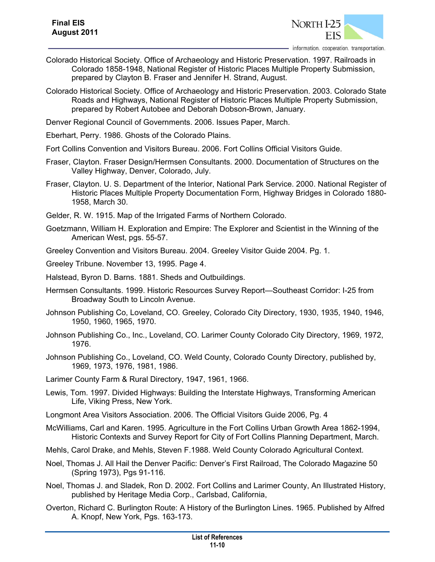

- Colorado Historical Society. Office of Archaeology and Historic Preservation. 1997. Railroads in Colorado 1858-1948, National Register of Historic Places Multiple Property Submission, prepared by Clayton B. Fraser and Jennifer H. Strand, August.
- Colorado Historical Society. Office of Archaeology and Historic Preservation. 2003. Colorado State Roads and Highways, National Register of Historic Places Multiple Property Submission, prepared by Robert Autobee and Deborah Dobson-Brown, January.

Denver Regional Council of Governments. 2006. Issues Paper, March.

- Eberhart, Perry. 1986. Ghosts of the Colorado Plains.
- Fort Collins Convention and Visitors Bureau. 2006. Fort Collins Official Visitors Guide.
- Fraser, Clayton. Fraser Design/Hermsen Consultants. 2000. Documentation of Structures on the Valley Highway, Denver, Colorado, July.
- Fraser, Clayton. U. S. Department of the Interior, National Park Service. 2000. National Register of Historic Places Multiple Property Documentation Form, Highway Bridges in Colorado 1880- 1958, March 30.
- Gelder, R. W. 1915. Map of the Irrigated Farms of Northern Colorado.
- Goetzmann, William H. Exploration and Empire: The Explorer and Scientist in the Winning of the American West, pgs. 55-57.
- Greeley Convention and Visitors Bureau. 2004. Greeley Visitor Guide 2004. Pg. 1.
- Greeley Tribune. November 13, 1995. Page 4.
- Halstead, Byron D. Barns. 1881. Sheds and Outbuildings.
- Hermsen Consultants. 1999. Historic Resources Survey Report—Southeast Corridor: I-25 from Broadway South to Lincoln Avenue.
- Johnson Publishing Co, Loveland, CO. Greeley, Colorado City Directory, 1930, 1935, 1940, 1946, 1950, 1960, 1965, 1970.
- Johnson Publishing Co., Inc., Loveland, CO. Larimer County Colorado City Directory, 1969, 1972, 1976.
- Johnson Publishing Co., Loveland, CO. Weld County, Colorado County Directory, published by, 1969, 1973, 1976, 1981, 1986.
- Larimer County Farm & Rural Directory, 1947, 1961, 1966.
- Lewis, Tom. 1997. Divided Highways: Building the Interstate Highways, Transforming American Life, Viking Press, New York.
- Longmont Area Visitors Association. 2006. The Official Visitors Guide 2006, Pg. 4
- McWilliams, Carl and Karen. 1995. Agriculture in the Fort Collins Urban Growth Area 1862-1994, Historic Contexts and Survey Report for City of Fort Collins Planning Department, March.
- Mehls, Carol Drake, and Mehls, Steven F.1988. Weld County Colorado Agricultural Context.
- Noel, Thomas J. All Hail the Denver Pacific: Denver's First Railroad, The Colorado Magazine 50 (Spring 1973), Pgs 91-116.
- Noel, Thomas J. and Sladek, Ron D. 2002. Fort Collins and Larimer County, An Illustrated History, published by Heritage Media Corp., Carlsbad, California,
- Overton, Richard C. Burlington Route: A History of the Burlington Lines. 1965. Published by Alfred A. Knopf, New York, Pgs. 163-173.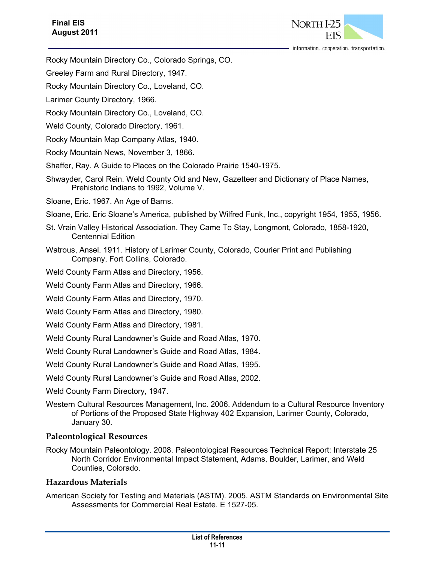

information. cooperation. transportation.

- Rocky Mountain Directory Co., Colorado Springs, CO.
- Greeley Farm and Rural Directory, 1947.
- Rocky Mountain Directory Co., Loveland, CO.
- Larimer County Directory, 1966.
- Rocky Mountain Directory Co., Loveland, CO.
- Weld County, Colorado Directory, 1961.
- Rocky Mountain Map Company Atlas, 1940.
- Rocky Mountain News, November 3, 1866.
- Shaffer, Ray. A Guide to Places on the Colorado Prairie 1540-1975.
- Shwayder, Carol Rein. Weld County Old and New, Gazetteer and Dictionary of Place Names, Prehistoric Indians to 1992, Volume V.
- Sloane, Eric. 1967. An Age of Barns.
- Sloane, Eric. Eric Sloane's America, published by Wilfred Funk, Inc., copyright 1954, 1955, 1956.
- St. Vrain Valley Historical Association. They Came To Stay, Longmont, Colorado, 1858-1920, Centennial Edition
- Watrous, Ansel. 1911. History of Larimer County, Colorado, Courier Print and Publishing Company, Fort Collins, Colorado.
- Weld County Farm Atlas and Directory, 1956.
- Weld County Farm Atlas and Directory, 1966.
- Weld County Farm Atlas and Directory, 1970.
- Weld County Farm Atlas and Directory, 1980.
- Weld County Farm Atlas and Directory, 1981.
- Weld County Rural Landowner's Guide and Road Atlas, 1970.
- Weld County Rural Landowner's Guide and Road Atlas, 1984.
- Weld County Rural Landowner's Guide and Road Atlas, 1995.
- Weld County Rural Landowner's Guide and Road Atlas, 2002.
- Weld County Farm Directory, 1947.
- Western Cultural Resources Management, Inc. 2006. Addendum to a Cultural Resource Inventory of Portions of the Proposed State Highway 402 Expansion, Larimer County, Colorado, January 30.

## **Paleontological Resources**

Rocky Mountain Paleontology. 2008. Paleontological Resources Technical Report: Interstate 25 North Corridor Environmental Impact Statement, Adams, Boulder, Larimer, and Weld Counties, Colorado.

## **Hazardous Materials**

American Society for Testing and Materials (ASTM). 2005. ASTM Standards on Environmental Site Assessments for Commercial Real Estate. E 1527-05.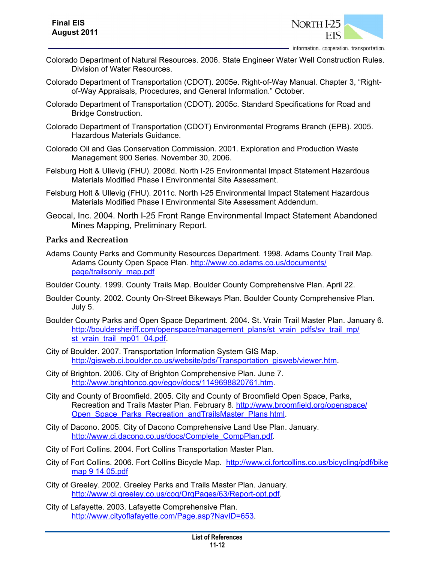

- Colorado Department of Natural Resources. 2006. State Engineer Water Well Construction Rules. Division of Water Resources.
- Colorado Department of Transportation (CDOT). 2005e. Right-of-Way Manual. Chapter 3, "Rightof-Way Appraisals, Procedures, and General Information." October.
- Colorado Department of Transportation (CDOT). 2005c. Standard Specifications for Road and Bridge Construction.
- Colorado Department of Transportation (CDOT) Environmental Programs Branch (EPB). 2005. Hazardous Materials Guidance.
- Colorado Oil and Gas Conservation Commission. 2001. Exploration and Production Waste Management 900 Series. November 30, 2006.
- Felsburg Holt & Ullevig (FHU). 2008d. North I-25 Environmental Impact Statement Hazardous Materials Modified Phase I Environmental Site Assessment.
- Felsburg Holt & Ullevig (FHU). 2011c. North I-25 Environmental Impact Statement Hazardous Materials Modified Phase I Environmental Site Assessment Addendum.
- Geocal, Inc. 2004. North I-25 Front Range Environmental Impact Statement Abandoned Mines Mapping, Preliminary Report.

#### **Parks and Recreation**

- Adams County Parks and Community Resources Department. 1998. Adams County Trail Map. Adams County Open Space Plan. http://www.co.adams.co.us/documents/ page/trailsonly\_map.pdf
- Boulder County. 1999. County Trails Map. Boulder County Comprehensive Plan. April 22.
- Boulder County. 2002. County On-Street Bikeways Plan. Boulder County Comprehensive Plan. July 5.
- Boulder County Parks and Open Space Department. 2004. St. Vrain Trail Master Plan. January 6. http://bouldersheriff.com/openspace/management\_plans/st\_vrain\_pdfs/sv\_trail\_mp/ st\_vrain\_trail\_mp01\_04.pdf.
- City of Boulder. 2007. Transportation Information System GIS Map. http://gisweb.ci.boulder.co.us/website/pds/Transportation\_gisweb/viewer.htm.
- City of Brighton. 2006. City of Brighton Comprehensive Plan. June 7. http://www.brightonco.gov/egov/docs/1149698820761.htm.
- City and County of Broomfield. 2005. City and County of Broomfield Open Space, Parks, Recreation and Trails Master Plan. February 8. http://www.broomfield.org/openspace/ Open Space Parks Recreation andTrailsMaster Plans html.
- City of Dacono. 2005. City of Dacono Comprehensive Land Use Plan. January. http://www.ci.dacono.co.us/docs/Complete\_CompPlan.pdf.
- City of Fort Collins. 2004. Fort Collins Transportation Master Plan.
- City of Fort Collins. 2006. Fort Collins Bicycle Map. http://www.ci.fortcollins.co.us/bicycling/pdf/bike map 9 14 05.pdf
- City of Greeley. 2002. Greeley Parks and Trails Master Plan. January. http://www.ci.greeley.co.us/cog/OrgPages/63/Report-opt.pdf.
- City of Lafayette. 2003. Lafayette Comprehensive Plan. http://www.cityoflafayette.com/Page.asp?NavID=653.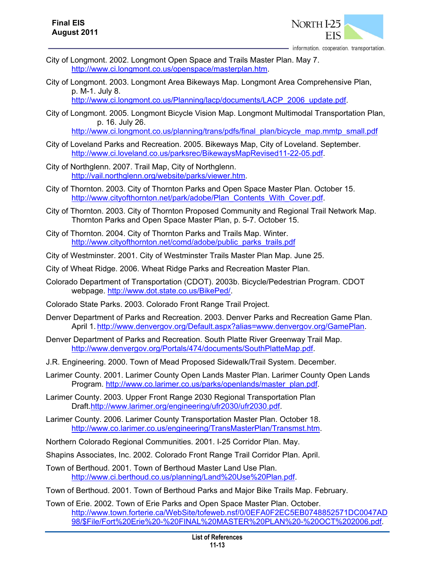

- City of Longmont. 2002. Longmont Open Space and Trails Master Plan. May 7. http://www.ci.longmont.co.us/openspace/masterplan.htm.
- City of Longmont. 2003. Longmont Area Bikeways Map. Longmont Area Comprehensive Plan, p. M-1. July 8.

http://www.ci.longmont.co.us/Planning/lacp/documents/LACP\_2006\_update.pdf.

City of Longmont. 2005. Longmont Bicycle Vision Map. Longmont Multimodal Transportation Plan, p. 16. July 26.

http://www.ci.longmont.co.us/planning/trans/pdfs/final\_plan/bicycle\_map.mmtp\_small.pdf

- City of Loveland Parks and Recreation. 2005. Bikeways Map, City of Loveland. September. http://www.ci.loveland.co.us/parksrec/BikewaysMapRevised11-22-05.pdf.
- City of Northglenn. 2007. Trail Map, City of Northglenn. http://vail.northglenn.org/website/parks/viewer.htm.
- City of Thornton. 2003. City of Thornton Parks and Open Space Master Plan. October 15. http://www.cityofthornton.net/park/adobe/Plan\_Contents\_With\_Cover.pdf.
- City of Thornton. 2003. City of Thornton Proposed Community and Regional Trail Network Map. Thornton Parks and Open Space Master Plan, p. 5-7. October 15.
- City of Thornton. 2004. City of Thornton Parks and Trails Map. Winter. http://www.cityofthornton.net/comd/adobe/public\_parks\_trails.pdf
- City of Westminster. 2001. City of Westminster Trails Master Plan Map. June 25.
- City of Wheat Ridge. 2006. Wheat Ridge Parks and Recreation Master Plan.
- Colorado Department of Transportation (CDOT). 2003b. Bicycle/Pedestrian Program. CDOT webpage. http://www.dot.state.co.us/BikePed/.

Colorado State Parks. 2003. Colorado Front Range Trail Project.

- Denver Department of Parks and Recreation. 2003. Denver Parks and Recreation Game Plan. April 1. http://www.denvergov.org/Default.aspx?alias=www.denvergov.org/GamePlan.
- Denver Department of Parks and Recreation. South Platte River Greenway Trail Map. http://www.denvergov.org/Portals/474/documents/SouthPlatteMap.pdf.
- J.R. Engineering. 2000. Town of Mead Proposed Sidewalk/Trail System. December.
- Larimer County. 2001. Larimer County Open Lands Master Plan. Larimer County Open Lands Program. http://www.co.larimer.co.us/parks/openlands/master\_plan.pdf.
- Larimer County. 2003. Upper Front Range 2030 Regional Transportation Plan Draft.http://www.larimer.org/engineering/ufr2030/ufr2030.pdf.
- Larimer County. 2006. Larimer County Transportation Master Plan. October 18. http://www.co.larimer.co.us/engineering/TransMasterPlan/Transmst.htm.
- Northern Colorado Regional Communities. 2001. I-25 Corridor Plan. May.
- Shapins Associates, Inc. 2002. Colorado Front Range Trail Corridor Plan. April.
- Town of Berthoud. 2001. Town of Berthoud Master Land Use Plan. http://www.ci.berthoud.co.us/planning/Land%20Use%20Plan.pdf.

Town of Berthoud. 2001. Town of Berthoud Parks and Major Bike Trails Map. February.

Town of Erie. 2002. Town of Erie Parks and Open Space Master Plan. October. http://www.town.forterie.ca/WebSite/tofeweb.nsf/0/0EFA0F2EC5EB0748852571DC0047AD 98/\$File/Fort%20Erie%20-%20FINAL%20MASTER%20PLAN%20-%20OCT%202006.pdf.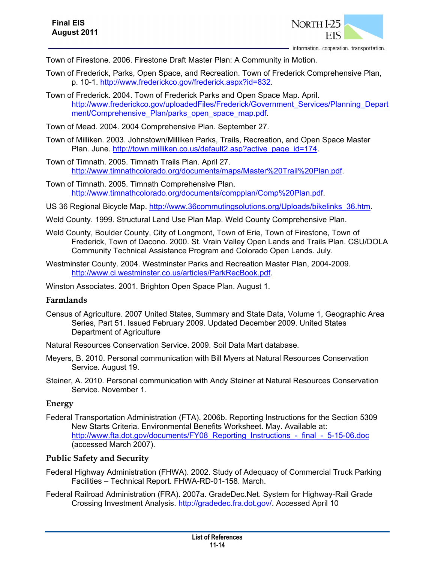

Town of Firestone. 2006. Firestone Draft Master Plan: A Community in Motion.

- Town of Frederick, Parks, Open Space, and Recreation. Town of Frederick Comprehensive Plan, p. 10-1. http://www.frederickco.gov/frederick.aspx?id=832.
- Town of Frederick. 2004. Town of Frederick Parks and Open Space Map. April. http://www.frederickco.gov/uploadedFiles/Frederick/Government\_Services/Planning\_Depart ment/Comprehensive\_Plan/parks\_open\_space\_map.pdf.
- Town of Mead. 2004. 2004 Comprehensive Plan. September 27.
- Town of Milliken. 2003. Johnstown/Milliken Parks, Trails, Recreation, and Open Space Master Plan. June. http://town.milliken.co.us/default2.asp?active\_page\_id=174.
- Town of Timnath. 2005. Timnath Trails Plan. April 27. http://www.timnathcolorado.org/documents/maps/Master%20Trail%20Plan.pdf.
- Town of Timnath. 2005. Timnath Comprehensive Plan. http://www.timnathcolorado.org/documents/compplan/Comp%20Plan.pdf.
- US 36 Regional Bicycle Map. http://www.36commutingsolutions.org/Uploads/bikelinks\_36.htm.
- Weld County. 1999. Structural Land Use Plan Map. Weld County Comprehensive Plan.
- Weld County, Boulder County, City of Longmont, Town of Erie, Town of Firestone, Town of Frederick, Town of Dacono. 2000. St. Vrain Valley Open Lands and Trails Plan. CSU/DOLA Community Technical Assistance Program and Colorado Open Lands. July.
- Westminster County. 2004. Westminster Parks and Recreation Master Plan, 2004-2009. http://www.ci.westminster.co.us/articles/ParkRecBook.pdf.

Winston Associates. 2001. Brighton Open Space Plan. August 1.

## **Farmlands**

Census of Agriculture. 2007 United States, Summary and State Data, Volume 1, Geographic Area Series, Part 51. Issued February 2009. Updated December 2009. United States Department of Agriculture

Natural Resources Conservation Service. 2009. Soil Data Mart database.

- Meyers, B. 2010. Personal communication with Bill Myers at Natural Resources Conservation Service. August 19.
- Steiner, A. 2010. Personal communication with Andy Steiner at Natural Resources Conservation Service. November 1.

## **Energy**

Federal Transportation Administration (FTA). 2006b. Reporting Instructions for the Section 5309 New Starts Criteria. Environmental Benefits Worksheet. May. Available at: http://www.fta.dot.gov/documents/FY08\_Reporting\_Instructions - final - 5-15-06.doc (accessed March 2007).

## **Public Safety and Security**

- Federal Highway Administration (FHWA). 2002. Study of Adequacy of Commercial Truck Parking Facilities – Technical Report. FHWA-RD-01-158. March.
- Federal Railroad Administration (FRA). 2007a. GradeDec.Net. System for Highway-Rail Grade Crossing Investment Analysis. http://gradedec.fra.dot.gov/. Accessed April 10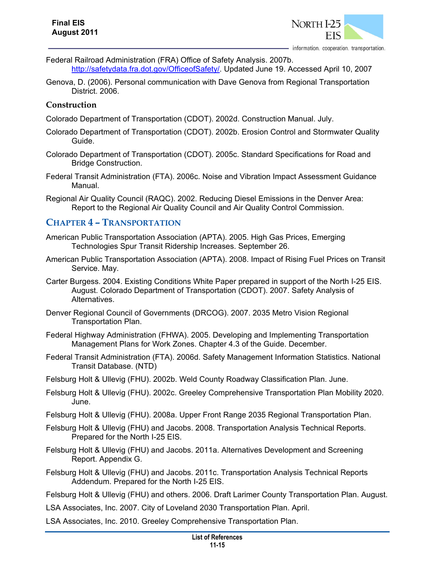

- Federal Railroad Administration (FRA) Office of Safety Analysis. 2007b. http://safetydata.fra.dot.gov/OfficeofSafety/. Updated June 19. Accessed April 10, 2007
- Genova, D. (2006). Personal communication with Dave Genova from Regional Transportation District. 2006.

## **Construction**

Colorado Department of Transportation (CDOT). 2002d. Construction Manual. July.

- Colorado Department of Transportation (CDOT). 2002b. Erosion Control and Stormwater Quality Guide.
- Colorado Department of Transportation (CDOT). 2005c. Standard Specifications for Road and Bridge Construction.
- Federal Transit Administration (FTA). 2006c. Noise and Vibration Impact Assessment Guidance Manual.
- Regional Air Quality Council (RAQC). 2002. Reducing Diesel Emissions in the Denver Area: Report to the Regional Air Quality Council and Air Quality Control Commission.

# **CHAPTER 4 – TRANSPORTATION**

- American Public Transportation Association (APTA). 2005. High Gas Prices, Emerging Technologies Spur Transit Ridership Increases. September 26.
- American Public Transportation Association (APTA). 2008. Impact of Rising Fuel Prices on Transit Service. May.
- Carter Burgess. 2004. Existing Conditions White Paper prepared in support of the North I-25 EIS. August. Colorado Department of Transportation (CDOT). 2007. Safety Analysis of Alternatives.
- Denver Regional Council of Governments (DRCOG). 2007. 2035 Metro Vision Regional Transportation Plan.
- Federal Highway Administration (FHWA). 2005. Developing and Implementing Transportation Management Plans for Work Zones. Chapter 4.3 of the Guide. December.
- Federal Transit Administration (FTA). 2006d. Safety Management Information Statistics. National Transit Database. (NTD)
- Felsburg Holt & Ullevig (FHU). 2002b. Weld County Roadway Classification Plan. June.
- Felsburg Holt & Ullevig (FHU). 2002c. Greeley Comprehensive Transportation Plan Mobility 2020. June.
- Felsburg Holt & Ullevig (FHU). 2008a. Upper Front Range 2035 Regional Transportation Plan.
- Felsburg Holt & Ullevig (FHU) and Jacobs. 2008. Transportation Analysis Technical Reports. Prepared for the North I-25 EIS.
- Felsburg Holt & Ullevig (FHU) and Jacobs. 2011a. Alternatives Development and Screening Report. Appendix G.
- Felsburg Holt & Ullevig (FHU) and Jacobs. 2011c. Transportation Analysis Technical Reports Addendum. Prepared for the North I-25 EIS.
- Felsburg Holt & Ullevig (FHU) and others. 2006. Draft Larimer County Transportation Plan. August.
- LSA Associates, Inc. 2007. City of Loveland 2030 Transportation Plan. April.
- LSA Associates, Inc. 2010. Greeley Comprehensive Transportation Plan.